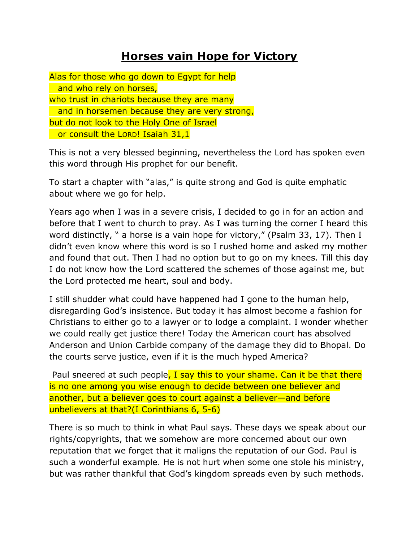## **Horses vain Hope for Victory**

Alas for those who go down to Egypt for help and who rely on horses, who trust in chariots because they are many and in horsemen because they are very strong, but do not look to the Holy One of Israel or consult the LORD! Isaiah 31,1

This is not a very blessed beginning, nevertheless the Lord has spoken even this word through His prophet for our benefit.

To start a chapter with "alas," is quite strong and God is quite emphatic about where we go for help.

Years ago when I was in a severe crisis, I decided to go in for an action and before that I went to church to pray. As I was turning the corner I heard this word distinctly, " a horse is a vain hope for victory," (Psalm 33, 17). Then I didn't even know where this word is so I rushed home and asked my mother and found that out. Then I had no option but to go on my knees. Till this day I do not know how the Lord scattered the schemes of those against me, but the Lord protected me heart, soul and body.

I still shudder what could have happened had I gone to the human help, disregarding God's insistence. But today it has almost become a fashion for Christians to either go to a lawyer or to lodge a complaint. I wonder whether we could really get justice there! Today the American court has absolved Anderson and Union Carbide company of the damage they did to Bhopal. Do the courts serve justice, even if it is the much hyped America?

Paul sneered at such people, I say this to your shame. Can it be that there is no one among you wise enough to decide between one believer and another, but a believer goes to court against a believer—and before unbelievers at that?(I Corinthians 6, 5-6)

There is so much to think in what Paul says. These days we speak about our rights/copyrights, that we somehow are more concerned about our own reputation that we forget that it maligns the reputation of our God. Paul is such a wonderful example. He is not hurt when some one stole his ministry, but was rather thankful that God's kingdom spreads even by such methods.